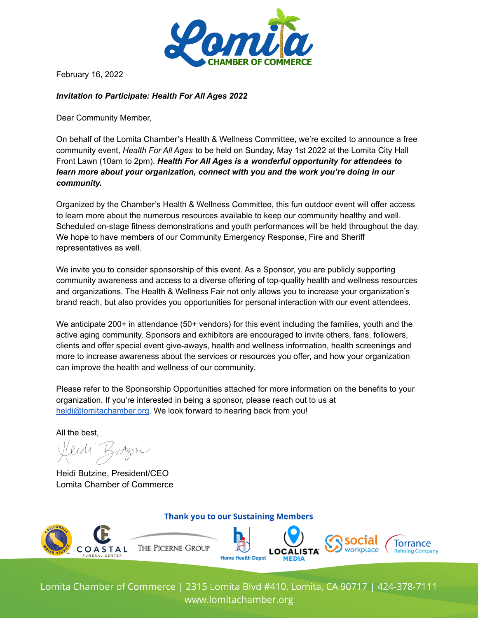

February 16, 2022

## *Invitation to Participate: Health For All Ages 2022*

Dear Community Member,

On behalf of the Lomita Chamber's Health & Wellness Committee, we're excited to announce a free community event, *Health For All Ages* to be held on Sunday, May 1st 2022 at the Lomita City Hall Front Lawn (10am to 2pm). *Health For All Ages is a wonderful opportunity for attendees to learn more about your organization, connect with you and the work you're doing in our community.*

Organized by the Chamber's Health & Wellness Committee, this fun outdoor event will offer access to learn more about the numerous resources available to keep our community healthy and well. Scheduled on-stage fitness demonstrations and youth performances will be held throughout the day. We hope to have members of our Community Emergency Response, Fire and Sheriff representatives as well.

We invite you to consider sponsorship of this event. As a Sponsor, you are publicly supporting community awareness and access to a diverse offering of top-quality health and wellness resources and organizations. The Health & Wellness Fair not only allows you to increase your organization's brand reach, but also provides you opportunities for personal interaction with our event attendees.

We anticipate 200+ in attendance (50+ vendors) for this event including the families, youth and the active aging community. Sponsors and exhibitors are encouraged to invite others, fans, followers, clients and offer special event give-aways, health and wellness information, health screenings and more to increase awareness about the services or resources you offer, and how your organization can improve the health and wellness of our community.

Please refer to the Sponsorship Opportunities attached for more information on the benefits to your organization. If you're interested in being a sponsor, please reach out to us at [heidi@lomitachamber.org](mailto:heidi@lomitachamber.org). We look forward to hearing back from you!

All the best,

Heidi Butzine, President/CEO Lomita Chamber of Commerce

**Thank you to our Sustaining Members** 



Lomita Chamber of Commerce | 2315 Lomita Blvd #410, Lomita, CA 90717 | 424-378-7111 www.lomitachamber.org